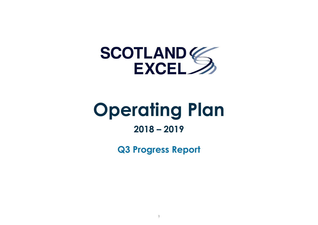

# **Operating Plan**

# **2018 – 2019**

**Q3 Progress Report**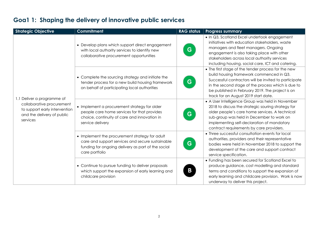| <b>Strategic Objective</b>                                                                                                         | <b>Commitment</b>                                                                                                                                                          | <b>RAG status</b> | <b>Progress summary</b>                                                                                                                                                                                                                                                                                    |
|------------------------------------------------------------------------------------------------------------------------------------|----------------------------------------------------------------------------------------------------------------------------------------------------------------------------|-------------------|------------------------------------------------------------------------------------------------------------------------------------------------------------------------------------------------------------------------------------------------------------------------------------------------------------|
| 1.1 Deliver a programme of<br>collaborative procurement<br>to support early intervention<br>and the delivery of public<br>services | • Develop plans which support direct engagement<br>with local authority services to identify new<br>collaborative procurement opportunities                                | G                 | • In Q3, Scotland Excel undertook engagement<br>initiatives with education stakeholders, waste<br>managers and fleet managers. Ongoing<br>engagement is also taking place with other<br>stakeholders across local authority services<br>including housing, social care, ICT and catering.                  |
|                                                                                                                                    | • Complete the sourcing strategy and initiate the<br>tender process for a new build housing framework<br>on behalf of participating local authorities                      | G                 | • The first stage of the tender process for the new<br>build housing framework commenced in Q3.<br>Successful contractors will be invited to participate<br>in the second stage of the process which is due to<br>be published in February 2019. The project is on<br>track for an August 2019 start date. |
|                                                                                                                                    | • Implement a procurement strategy for older<br>people care home services for that provides<br>choice, continuity of care and innovation in<br>service delivery            | G                 | • A User Intelligence Group was held in November<br>2018 to discuss the strategic souring strategy for<br>older people's care home services. A technical<br>sub-group was held in December to work on<br>implementing self-declaration of mandatory<br>contract requirements by care providers.            |
|                                                                                                                                    | • Implement the procurement strategy for adult<br>care and support services and secure sustainable<br>funding for ongoing delivery as part of the social<br>care portfolio | G.                | • Three successful consultation events for local<br>authorities, providers and their representative<br>bodies were held in November 2018 to support the<br>development of the care and support contract<br>service specification.                                                                          |
|                                                                                                                                    | • Continue to pursue funding to deliver proposals<br>which support the expansion of early learning and<br>childcare provision                                              | Β                 | • Funding has been secured for Scotland Excel to<br>produce guidance, cost modelling and standard<br>terms and conditions to support the expansion of<br>early learning and childcare provision. Work is now<br>underway to deliver this project.                                                          |

#### **Goa1 1: Shaping the delivery of innovative public services**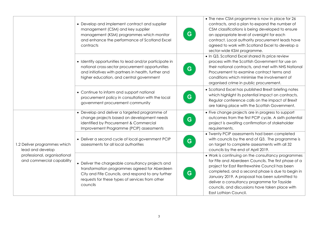|                                                                                                               | • Develop and implement contract and supplier<br>management (CSM) and key supplier<br>management (KSM) programmes which monitor<br>and enhance the performance of Scotland Excel<br>contracts                           | • The new CSM programme is now in place for 26<br>contracts, and a plan to expand the number of<br>CSM classifications is being developed to ensure<br>G.<br>an appropriate level of oversight for each<br>contract. Local authority procurement leads have<br>agreed to work with Scotland Excel to develop a<br>sector-wide KSM programme.                                                       |
|---------------------------------------------------------------------------------------------------------------|-------------------------------------------------------------------------------------------------------------------------------------------------------------------------------------------------------------------------|----------------------------------------------------------------------------------------------------------------------------------------------------------------------------------------------------------------------------------------------------------------------------------------------------------------------------------------------------------------------------------------------------|
|                                                                                                               | • Identify opportunities to lead and/or participate in<br>national cross-sector procurement opportunities<br>and initiatives with partners in health, further and<br>higher education, and central government           | . In Q3, Scotland Excel shared its price review<br>process with the Scottish Government for use on<br>their national contracts, and met with NHS National<br>G<br>Procurement to examine contract terms and<br>conditions which minimise the involvement of<br>organised crime in public procurement.                                                                                              |
|                                                                                                               | • Continue to inform and support national<br>procurement policy in consultation with the local<br>government procurement community                                                                                      | • Scotland Excel has published Brexit briefing notes<br>which highlight its potential impact on contracts.<br>G<br>Regular conference calls on the impact of Brexit<br>are taking place with the Scottish Government.                                                                                                                                                                              |
| 1.2 Deliver programmes which<br>lead and develop<br>professional, organisational<br>and commercial capability | • Develop and deliver a targeted programme of<br>change projects based on development needs<br>identified by Procurement & Commercial<br>Improvement Programme (PCIP) assessments                                       | • Five change projects are in progress to support<br>outcomes from the first PCIP cycle. A sixth potential<br>G<br>project is awaiting confirmation of stakeholder<br>requirements.                                                                                                                                                                                                                |
|                                                                                                               | • Deliver a second cycle of local government PCIP<br>assessments for all local authorities                                                                                                                              | • Twenty PCIP assessments had been completed<br>with councils by the end of Q3. The programme is<br>G<br>on target to complete assessments with all 32<br>councils by the end of April 2019.                                                                                                                                                                                                       |
|                                                                                                               | • Deliver the chargeable consultancy projects and<br>transformation programmes agreed for Aberdeen<br>City and Fife Councils, and respond to any further<br>requests for these types of services from other<br>councils | • Work is continuing on the consultancy programmes<br>for Fife and Aberdeen Councils. The first phase of a<br>project for East Renfrewshire Council has been<br>completed, and a second phase is due to begin in<br>G<br>January 2019. A proposal has been submitted to<br>deliver a consultancy programme for Tayside<br>councils, and discussions have taken place with<br>East Lothian Council. |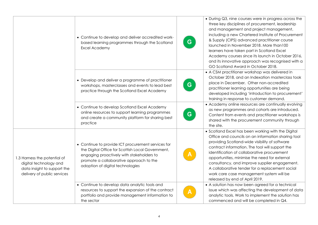|                                                                                                                      | • Continue to develop and deliver accredited work-<br>based learning programmes through the Scotland<br>Excel Academy                                                                                                               | G | • During Q3, nine courses were in progress across the<br>three key disciplines of procurement, leadership<br>and management and project management,<br>including a new Chartered Institute of Procurement<br>& Supply (CIPS) advanced practitioner course<br>launched in November 2018. More than 100<br>learners have taken part in Scotland Excel<br>Academy courses since its launch in October 2016,<br>and its innovative approach was recognised with a<br>GO Scotland Award in October 2018. |
|----------------------------------------------------------------------------------------------------------------------|-------------------------------------------------------------------------------------------------------------------------------------------------------------------------------------------------------------------------------------|---|-----------------------------------------------------------------------------------------------------------------------------------------------------------------------------------------------------------------------------------------------------------------------------------------------------------------------------------------------------------------------------------------------------------------------------------------------------------------------------------------------------|
|                                                                                                                      | • Develop and deliver a programme of practitioner<br>workshops, masterclasses and events to lead best<br>practice through the Scotland Excel Academy                                                                                | G | • A CSM practitioner workshop was delivered in<br>October 2018, and an Indexation masterclass took<br>place in December. Other non-accredited<br>practitioner learning opportunities are being<br>developed including 'introduction to procurement'<br>training in response to customer demand.                                                                                                                                                                                                     |
|                                                                                                                      | • Continue to develop Scotland Excel Academy<br>online resources to support learning programmes<br>and create a community platform for sharing best<br>practice                                                                     | G | • Academy online resources are continually evolving<br>as new programmes and cohorts are introduced.<br>Content from events and practitioner workshops is<br>shared with the procurement community through<br>the site.                                                                                                                                                                                                                                                                             |
| 1.3 Harness the potential of<br>digital technology and<br>data insight to support the<br>delivery of public services | • Continue to provide ICT procurement services for<br>the Digital Office for Scottish Local Government,<br>engaging proactively with stakeholders to<br>promote a collaborative approach to the<br>adoption of digital technologies |   | • Scotland Excel has been working with the Digital<br>Office and councils on an information sharing tool<br>providing Scotland-wide visibility of software<br>contract information. The tool will support the<br>identification of collaborative procurement<br>opportunities, minimise the need for external<br>consultancy, and improve supplier engagement.<br>A collaborative tender for a replacement social<br>work care case management system will be<br>released by end of April 2019.     |
|                                                                                                                      | • Continue to develop data analytic tools and<br>resources to support the expansion of the contract<br>portfolio and provide management information to<br>the sector                                                                |   | • A solution has now been agreed for a technical<br>issue which was affecting the development of data<br>analytic tools. Work to implement the solution has<br>commenced and will be completed in Q4.                                                                                                                                                                                                                                                                                               |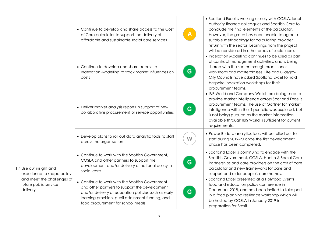|                                                                                                                          | • Continue to develop and share access to the Cost<br>of Care calculator to support the delivery of<br>affordable and sustainable social care services                                                                                            |    | • Scotland Excel is working closely with COSLA, local<br>authority finance colleagues and Scottish Care to<br>conclude the final elements of the calculator.<br>However, the group has been unable to agree a<br>suitable methodology for calculating provider<br>return with the sector. Learnings from the project<br>will be considered in other areas of social care. |
|--------------------------------------------------------------------------------------------------------------------------|---------------------------------------------------------------------------------------------------------------------------------------------------------------------------------------------------------------------------------------------------|----|---------------------------------------------------------------------------------------------------------------------------------------------------------------------------------------------------------------------------------------------------------------------------------------------------------------------------------------------------------------------------|
|                                                                                                                          | • Continue to develop and share access to<br>Indexation Modelling to track market influences on<br>costs                                                                                                                                          | G. | • Indexation Modelling continues to be used as part<br>of contract management activities, and is being<br>shared with the sector through practitioner<br>workshops and masterclasses. Fife and Glasgow<br>City Councils have asked Scotland Excel to hold<br>bespoke indexation workshops for their<br>procurement teams.                                                 |
|                                                                                                                          | • Deliver market analysis reports in support of new<br>collaborative procurement or service opportunities                                                                                                                                         | G. | • IBIS World and Company Watch are being used to<br>provide market intelligence across Scotland Excel's<br>procurement teams. The use of Gartner for market<br>intelligence within the IT portfolio was explored, but<br>is not being pursued as the market information<br>available through IBIS World is sufficient for current<br>requirements.                        |
|                                                                                                                          | • Develop plans to roll out data analytic tools to staff<br>across the organisation                                                                                                                                                               | W  | . Power BI data analytics tools will be rolled out to<br>staff during 2019-20 once the first development<br>phase has been completed.                                                                                                                                                                                                                                     |
| 1.4 Use our insight and<br>experience to shape policy<br>and meet the challenges of<br>future public service<br>delivery | • Continue to work with the Scottish Government,<br>COSLA and other partners to support the<br>development and/or delivery of national policy in<br>social care                                                                                   | G. | • Scotland Excel is continuing to engage with the<br>Scottish Government, COSLA, Health & Social Care<br>Partnerships and care providers on the cost of care<br>calculator and new frameworks for care and<br>support and older people's care homes.                                                                                                                      |
|                                                                                                                          | • Continue to work with the Scottish Government<br>and other partners to support the development<br>and/or delivery of education policies such as early<br>learning provision, pupil attainment funding, and<br>food procurement for school meals | G  | • Scotland Excel presented at a Holyrood Events<br>food and education policy conference in<br>December 2018, and has been invited to take part<br>in a food planning resilience workshop which will<br>be hosted by COSLA in January 2019 in<br>preparation for Brexit.                                                                                                   |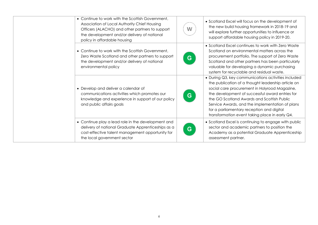| • Continue to work with the Scottish Government,<br>Association of Local Authority Chief Housing<br>Officers (ALACHO) and other partners to support<br>the development and/or delivery of national<br>policy in affordable housing | W | • Scotland Excel will focus on the development of<br>the new build housing framework in 2018-19 and<br>will explore further opportunities to influence or<br>support affordable housing policy in 2019-20.                                                                                                                                                                                                    |
|------------------------------------------------------------------------------------------------------------------------------------------------------------------------------------------------------------------------------------|---|---------------------------------------------------------------------------------------------------------------------------------------------------------------------------------------------------------------------------------------------------------------------------------------------------------------------------------------------------------------------------------------------------------------|
| • Continue to work with the Scottish Government.<br>Zero Waste Scotland and other partners to support<br>the development and/or delivery of national<br>environmental policy                                                       | G | • Scotland Excel continues to work with Zero Waste<br>Scotland on environmental matters across the<br>procurement portfolio. The support of Zero Waste<br>Scotland and other partners has been particularly<br>valuable for developing a dynamic purchasing<br>system for recyclable and residual waste.                                                                                                      |
| • Develop and deliver a calendar of<br>communications activities which promotes our<br>knowledge and experience in support of our policy<br>and public affairs goals                                                               | G | • During Q3, key communications activities included<br>the publication of a thought leadership article on<br>social care procurement in Holyrood Magazine,<br>the development of successful award entries for<br>the GO Scotland Awards and Scottish Public<br>Service Awards, and the implementation of plans<br>for a parliamentary reception and digital<br>transformation event taking place in early Q4. |
| • Continue play a lead role in the development and<br>delivery of national Graduate Apprenticeships as a<br>cost-effective talent management opportunity for<br>the local government sector                                        | G | • Scotland Excel is continuing to engage with public<br>sector and academic partners to position the<br>Academy as a potential Graduate Apprenticeship<br>assessment partner.                                                                                                                                                                                                                                 |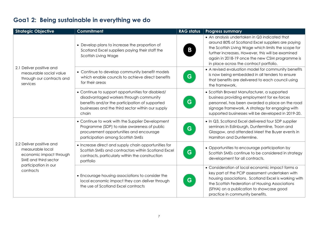## **Goa1 2: Being sustainable in everything we do**

| <b>Strategic Objective</b>                                                                                                           | <b>Commitment</b>                                                                                                                                                                                            | <b>RAG status</b> | <b>Progress summary</b>                                                                                                                                                                                                                                                                                     |
|--------------------------------------------------------------------------------------------------------------------------------------|--------------------------------------------------------------------------------------------------------------------------------------------------------------------------------------------------------------|-------------------|-------------------------------------------------------------------------------------------------------------------------------------------------------------------------------------------------------------------------------------------------------------------------------------------------------------|
| 2.1 Deliver positive and<br>measurable social value<br>through our contracts and<br>services                                         | • Develop plans to increase the proportion of<br>Scotland Excel suppliers paying their staff the<br>Scottish Living Wage                                                                                     | В                 | • An analysis undertaken in Q3 indicated that<br>around 80% of Scotland Excel suppliers are paying<br>the Scottish Living Wage which limits the scope for<br>further increases. However, this will be examined<br>again in 2018-19 once the new CSM programme is<br>in place across the contract portfolio. |
|                                                                                                                                      | • Continue to develop community benefit models<br>which enable councils to achieve direct benefits<br>for their areas                                                                                        | G                 | • A revised evaluation model for community benefits<br>is now being embedded in all tenders to ensure<br>that benefits are delivered to each council using<br>the framework.                                                                                                                                |
|                                                                                                                                      | • Continue to support opportunities for disabled/<br>disadvantaged workers through community<br>benefits and/or the participation of supported<br>businesses and the third sector within our supply<br>chain | G.                | • Scottish Bravest Manufacturer, a supported<br>business providing employment for ex-forces<br>personnel, has been awarded a place on the road<br>signage framework. A strategy for engaging with<br>supported businesses will be developed in 2019-20.                                                     |
| 2.2 Deliver positive and<br>measurable local<br>economic impact through<br>SME and third sector<br>participation in our<br>contracts | • Continue to work with the Supplier Development<br>Programme (SDP) to raise awareness of public<br>procurement opportunities and encourage<br>participation among Scottish SMEs                             | G                 | . In Q3, Scotland Excel delivered four SDP supplier<br>seminars in Edinburgh, Dunfermline, Troon and<br>Glasgow, and attended Meet the Buyer events in<br>Hamilton and Dunfermline.                                                                                                                         |
|                                                                                                                                      | • Increase direct and supply chain opportunities for<br>Scottish SMEs and contractors within Scotland Excel<br>contracts, particularly within the construction<br>portfolio                                  | G                 | • Opportunities to encourage participation by<br>Scottish SMEs continue to be considered in strategy<br>development for all contracts.                                                                                                                                                                      |
|                                                                                                                                      | • Encourage housing associations to consider the<br>local economic impact they can deliver through<br>the use of Scotland Excel contracts                                                                    | G                 | • Consideration of local economic impact forms a<br>key part of the PCIP assessment undertaken with<br>housing associations. Scotland Excel is working with<br>the Scottish Federation of Housing Associations<br>(SFHA) on a publication to showcase good<br>practice in community benefits.               |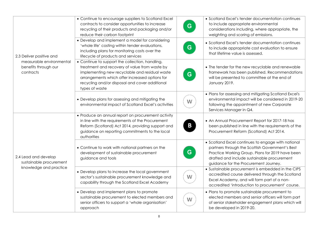| 2.3 Deliver positive and<br>measurable environmental<br>benefits through our<br>contracts | • Continue to encourage suppliers to Scotland Excel<br>contracts to consider opportunities to increase<br>recycling of their products and packaging and/or<br>reduce their carbon footprint                                                                              | G. | • Scotland Excel's tender documentation continues<br>to include appropriate environmental<br>considerations including, where appropriate, the<br>weighting and scoring of emissions.                                                              |
|-------------------------------------------------------------------------------------------|--------------------------------------------------------------------------------------------------------------------------------------------------------------------------------------------------------------------------------------------------------------------------|----|---------------------------------------------------------------------------------------------------------------------------------------------------------------------------------------------------------------------------------------------------|
|                                                                                           | • Develop and implement a model for considering<br>'whole life' costing within tender evaluations,<br>including plans for monitoring costs over the<br>lifecycle of products and services                                                                                | G  | • Scotland Excel's tender documentation continues<br>to include appropriate cost evaluation to ensure<br>that lifetime value is assessed.                                                                                                         |
|                                                                                           | • Continue to support the collection, handling,<br>treatment and recovery of value from waste by<br>implementing new recyclable and residual waste<br>arrangements which offer increased options for<br>recycling and/or disposal and cover additional<br>types of waste | G. | • The tender for the new recyclable and renewable<br>framework has been published. Recommendations<br>will be presented to committee at the end of<br>January 2019.                                                                               |
|                                                                                           | • Develop plans for assessing and mitigating the<br>environmental impact of Scotland Excel's activities                                                                                                                                                                  | W  | • Plans for assessing and mitigating Scotland Excel's<br>environmental impact will be considered in 2019-20<br>following the appointment of new Corporate<br>Services Manager in Q4.                                                              |
| 2.4 Lead and develop<br>sustainable procurement<br>knowledge and practice                 | • Produce an annual report on procurement activity<br>in line with the requirements of the Procurement<br>Reform (Scotland) Act 2014, providing support and<br>guidance on reporting commitments to the local<br>authorities                                             | B  | • An Annual Procurement Report for 2017-18 has<br>been published in line with the requirements of the<br>Procurement Reform (Scotland) Act 2014.                                                                                                  |
|                                                                                           | • Continue to work with national partners on the<br>development of sustainable procurement<br>guidance and tools                                                                                                                                                         | G. | • Scotland Excel continues to engage with national<br>partners through the Scottish Government's Best<br>Practice Working Group. Plans for 2019 have been<br>drafted and include sustainable procurement<br>guidance for the Procurement Journey. |
|                                                                                           | • Develop plans to increase the local government<br>sector's sustainable procurement knowledge and<br>capability through the Scotland Excel Academy                                                                                                                      | W  | • Sustainable procurement is embedded in the CIPS<br>accredited course delivered through the Scotland<br>Excel Academy, and will form part of a non-<br>accredited 'introduction to procurement' course.                                          |
|                                                                                           | • Develop and implement plans to promote<br>sustainable procurement to elected members and<br>senior officers to support a 'whole organisation'<br>approach                                                                                                              | W  | • Plans to promote sustainable procurement to<br>elected members and senior officers will form part<br>of senior stakeholder engagement plans which will<br>be developed in 2019-20.                                                              |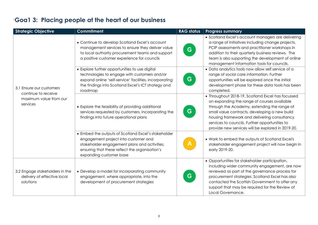| <b>Strategic Objective</b>                                                            | <b>Commitment</b>                                                                                                                                                                                                          | <b>RAG status</b> | <b>Progress summary</b>                                                                                                                                                                                                                                                                                                                                 |
|---------------------------------------------------------------------------------------|----------------------------------------------------------------------------------------------------------------------------------------------------------------------------------------------------------------------------|-------------------|---------------------------------------------------------------------------------------------------------------------------------------------------------------------------------------------------------------------------------------------------------------------------------------------------------------------------------------------------------|
| 3.1 Ensure our customers<br>continue to receive<br>maximum value from our<br>services | • Continue to develop Scotland Excel's account<br>management services to ensure they deliver value<br>to local authority procurement teams and support<br>a positive customer experience for councils                      | G                 | • Scotland Excel's account managers are delivering<br>a range of initiatives including change projects,<br>PCIP assessments and practitioner workshops in<br>addition to their quarterly business reviews. The<br>team is also supporting the development of online<br>management information tools for councils.                                       |
|                                                                                       | • Explore further opportunities to use digital<br>technologies to engage with customers and/or<br>expand online 'self-service' facilities, incorporating<br>the findings into Scotland Excel's ICT strategy and<br>roadmap | G                 | • Data analytics tools now allow self service of a<br>range of social care information. Further<br>opportunities will be explored once the initial<br>development phase for these data tools has been<br>completed.                                                                                                                                     |
|                                                                                       | • Explore the feasibility of providing additional<br>services requested by customers, incorporating the<br>findings into future operational plans                                                                          | G                 | • Throughout 2018-19, Scotland Excel has focussed<br>on expanding the range of courses available<br>through the Academy, extending the range of<br>small value contracts, developing a new build<br>housing framework and delivering consultancy<br>services to councils. Further opportunities to<br>provide new services will be explored in 2019-20. |
|                                                                                       | • Embed the outputs of Scotland Excel's stakeholder<br>engagement project into customer and<br>stakeholder engagement plans and activities,<br>ensuring that these reflect the organisation's<br>expanding customer base   |                   | • Work to embed the outputs of Scotland Excel's<br>stakeholder engagement project will now begin in<br>early 2019-20.                                                                                                                                                                                                                                   |
| 3.2 Engage stakeholders in the<br>delivery of effective local<br>solutions            | • Develop a model for incorporating community<br>engagement, where appropriate, into the<br>development of procurement strategies                                                                                          | G                 | • Opportunities for stakeholder participation,<br>including wider community engagement, are now<br>reviewed as part of the governance process for<br>procurement strategies. Scotland Excel has also<br>contacted the Scottish Government to offer any<br>support that may be required for the Review of<br>Local Governance.                           |

### `**Goa1 3: Placing people at the heart of our business**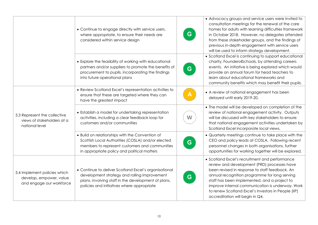|                                                                                     | • Continue to engage directly with service users,<br>where appropriate, to ensure their needs are<br>considered within service design                                                                      | G | • Advocacy groups and service users were invited to<br>consultation meetings for the renewal of the care<br>homes for adults with learning difficulties framework<br>in October 2018. However, no delegates attended<br>from these stakeholder groups, and the findings of<br>previous in-depth engagement with service users<br>will be used to inform strategy development.                  |
|-------------------------------------------------------------------------------------|------------------------------------------------------------------------------------------------------------------------------------------------------------------------------------------------------------|---|------------------------------------------------------------------------------------------------------------------------------------------------------------------------------------------------------------------------------------------------------------------------------------------------------------------------------------------------------------------------------------------------|
|                                                                                     | • Explore the feasibility of working with educational<br>partners and/or suppliers to promote the benefits of<br>procurement to pupils, incorporating the findings<br>into future operational plans        | G | • Scotland Excel is continuing to support educational<br>charity, Founders4Schools, by attending careers<br>events. An initiative is being explored which would<br>provide an annual forum for head teachers to<br>learn about educational frameworks and<br>community benefits which may benefit their pupils.                                                                                |
| 3.3 Represent the collective<br>views of stakeholders at a<br>national level        | • Review Scotland Excel's representation activities to<br>ensure that these are targeted where they can<br>have the greatest impact                                                                        |   | • A review of national engagement has been<br>delayed until early 2019-20.                                                                                                                                                                                                                                                                                                                     |
|                                                                                     | • Establish a model for undertaking representation<br>activities, including a clear feedback loop for<br>customers and/or communities                                                                      | W | • The model will be developed on completion of the<br>review of national engagement activity. Outputs<br>will be discussed with key stakeholders to ensure<br>that national engagement activities undertaken by<br>Scotland Excel incorporate local views.                                                                                                                                     |
|                                                                                     | • Build on relationships with the Convention of<br>Scottish Local Authorities (COSLA) and/or elected<br>members to represent customers and communities<br>in appropriate policy and political matters      | G | • Quarterly meetings continue to take place with the<br>CEO and policy leads at COSLA. Following recent<br>personnel changes in both organisations, further<br>opportunities for working together will be explored.                                                                                                                                                                            |
| 3.4 Implement policies which<br>develop, empower, value<br>and engage our workforce | • Continue to deliver Scotland Excel's organisational<br>development strategy and rolling improvement<br>plans, involving staff in the development of plans,<br>policies and initiatives where appropriate | G | • Scotland Excel's recruitment and performance<br>review and development (PRD) processes have<br>been revised in response to staff feedback. An<br>annual recognition programme for long serving<br>staff has been implemented, and a project to<br>improve internal communication is underway. Work<br>to renew Scotland Excel's Investors in People (IiP)<br>accreditation will begin in Q4. |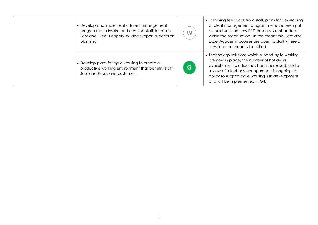| • Develop and implement a talent management<br>programme to inspire and develop staff, increase<br>Scotland Excel's capability, and support succession<br>planning | W  | • Following feedback from staff, plans for developing<br>a talent management programme have been put<br>on hold until the new PRD process is embedded<br>within the organisation. In the meantime, Scotland<br>Excel Academy courses are open to staff where a<br>development need is identified. |
|--------------------------------------------------------------------------------------------------------------------------------------------------------------------|----|---------------------------------------------------------------------------------------------------------------------------------------------------------------------------------------------------------------------------------------------------------------------------------------------------|
| • Develop plans for agile working to create a<br>productive working environment that benefits staff,<br>Scotland Excel, and customers                              | G. | • Technology solutions which support agile working<br>are now in place, the number of hot desks<br>available in the office has been increased, and a<br>review of telephony arrangements is ongoing. A<br>policy to support agile working is in development<br>and will be implemented in Q4.     |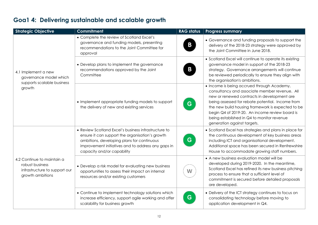| <b>Strategic Objective</b>                                                                         | <b>Commitment</b>                                                                                                                                                                                                                         | <b>RAG status</b> | <b>Progress summary</b>                                                                                                                                                                                                                                                                                                                                                            |
|----------------------------------------------------------------------------------------------------|-------------------------------------------------------------------------------------------------------------------------------------------------------------------------------------------------------------------------------------------|-------------------|------------------------------------------------------------------------------------------------------------------------------------------------------------------------------------------------------------------------------------------------------------------------------------------------------------------------------------------------------------------------------------|
| 4.1 Implement a new<br>governance model which<br>supports scalable business<br>growth              | • Complete the review of Scotland Excel's<br>governance and funding models, presenting<br>recommendations to the Joint Committee for<br>approval                                                                                          | B                 | • Governance and funding proposals to support the<br>delivery of the 2018-23 strategy were approved by<br>the Joint Committee in June 2018.                                                                                                                                                                                                                                        |
|                                                                                                    | • Develop plans to implement the governance<br>recommendations approved by the Joint<br>Committee                                                                                                                                         | Β                 | • Scotland Excel will continue to operate its existing<br>governance model in support of the 2018-23<br>strategy. Governance arrangements will continue<br>be reviewed periodically to ensure they align with<br>the organisation's ambitions.                                                                                                                                     |
|                                                                                                    | • Implement appropriate funding models to support<br>the delivery of new and existing services                                                                                                                                            | G                 | • Income is being accrued through Academy,<br>consultancy and associate member revenue. All<br>new or renewed contracts in development are<br>being assessed for rebate potential. Income from<br>the new build housing framework is expected to be<br>begin Q4 of 2019-20. An income review board is<br>being established in Q4 to monitor revenue<br>generation against targets. |
|                                                                                                    | • Review Scotland Excel's business infrastructure to<br>ensure it can support the organisation's growth<br>ambitions, developing plans for continuous<br>improvement initiatives and to address any gaps in<br>capacity and/or capability | G.                | • Scotland Excel has strategies and plans in place for<br>the continuous development of key business areas<br>including ICT and organisational development.<br>Additional space has been secured in Renfrewshire<br>House to accommodate growing staff numbers.                                                                                                                    |
| 4.2 Continue to maintain a<br>robust business<br>infrastructure to support our<br>growth ambitions | • Develop a risk model for evaluating new business<br>opportunities to assess their impact on internal<br>resources and/or existing customers                                                                                             | W                 | • A new business evaluation model will be<br>developed during 2019-2020. In the meantime,<br>Scotland Excel has refined its new business pitching<br>process to ensure that a sufficient level of<br>commitment is secured before detailed proposals<br>are developed.                                                                                                             |
|                                                                                                    | • Continue to implement technology solutions which<br>increase efficiency, support agile working and offer<br>scalability for business growth                                                                                             | G                 | • Delivery of the ICT strategy continues to focus on<br>consolidating technology before moving to<br>application development in Q4.                                                                                                                                                                                                                                                |

### **Goa1 4: Delivering sustainable and scalable growth**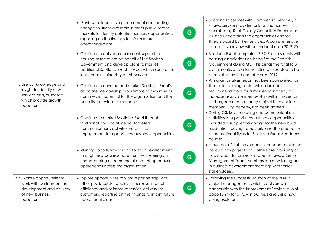| 4.3 Use our knowledge and<br>insight to identify new<br>services and/or sectors<br>which provide growth<br>opportunities  | • Review collaborative procurement and leading<br>change solutions available in other public sector<br>markets to identify potential business opportunities,<br>reporting on the findings to inform future<br>operational plans             | G. | • Scotland Excel met with Commercial Services, a<br>shared service provider for local authorities<br>operated by Kent County Council, in December<br>2018 to understand the opportunities and/or<br>threats posed by their services. A comprehensive<br>competitive review will be undertaken in 2019-20. |
|---------------------------------------------------------------------------------------------------------------------------|---------------------------------------------------------------------------------------------------------------------------------------------------------------------------------------------------------------------------------------------|----|-----------------------------------------------------------------------------------------------------------------------------------------------------------------------------------------------------------------------------------------------------------------------------------------------------------|
|                                                                                                                           | • Continue to deliver procurement support to<br>housing associations on behalf of the Scottish<br>Government and develop plans to market<br>additional Scotland Excel services which secure the<br>long term sustainability of this service | G. | • Scotland Excel completed 9 PCIP assessments with<br>housing associations on behalf of the Scottish<br>Government during Q3. This brings the total to 31<br>assessments, and a further 35 are expected to be<br>completed by the end of March 2019.                                                      |
|                                                                                                                           | • Continue to develop and market Scotland Excel's<br>associate membership programme to maximise its<br>commercial potential for the organisation and the<br>benefits it provides to members                                                 | G. | • A market analysis report has been completed for<br>the social housing sector which includes<br>recommendations for a marketing strategy to<br>increase associate membership within this sector.<br>A chargeable consultancy project for associate<br>member, City Property, has been agreed.            |
|                                                                                                                           | • Continue to market Scotland Excel through<br>traditional and social media, targeted<br>communications activity and political<br>engagement to support new business opportunities                                                          | G. | • During Q3, key marketing and communications<br>activities to support new business opportunities<br>included a supplier campaign for the new build<br>residential housing framework, and the production<br>of promotional flyers for Scotland Excel Academy<br>courses.                                  |
|                                                                                                                           | • Identify opportunities arising for staff development<br>through new business opportunities, fostering an<br>understanding of commercial and entrepreneurial<br>approaches across the organisation                                         | G. | • A number of staff have been seconded to external<br>consultancy projects and others are providing ad<br>hoc support for projects in specific areas. Senior<br>Management Team members are now taking part<br>in business development meetings with senior<br>stakeholders.                              |
| 4.4 Explore opportunities to<br>work with partners on the<br>development and delivery<br>of new business<br>opportunities | • Explore opportunities to work in partnership with<br>other public sector bodies to increase internal<br>efficiency and/or improve service delivery for<br>customers, reporting on the findings to inform future<br>operational plans      | G. | • Following the successful launch of the PDA in<br>project management, which is delivered in<br>partnership with the Improvement Service, a joint<br>opportunity for a PDA in business analysis is now<br>being explored.                                                                                 |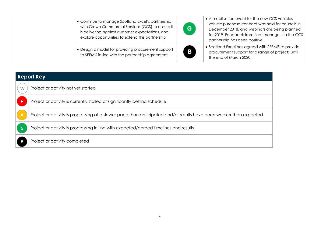| • Continue to manage Scotland Excel's partnership<br>with Crown Commercial Services (CCS) to ensure it<br>is delivering against customer expectations, and<br>explore opportunities to extend this partnership | G. | • A mobilisation event for the new CCS vehicles<br>vehicle purchase contract was held for councils in<br>December 2018, and webinars are being planned<br>for 2019. Feedback from fleet managers to the CCS<br>partnership has been positive. |
|----------------------------------------------------------------------------------------------------------------------------------------------------------------------------------------------------------------|----|-----------------------------------------------------------------------------------------------------------------------------------------------------------------------------------------------------------------------------------------------|
| • Design a model for providing procurement support<br>to SEEMiS in line with the partnership agreement                                                                                                         | B  | • Scotland Excel has agreed with SEEMiS to provide<br>procurement support for a range of projects until<br>the end of March 2020.                                                                                                             |

| <b>Report Key</b> |                                                                                                                    |  |
|-------------------|--------------------------------------------------------------------------------------------------------------------|--|
| W                 | Project or activity not yet started                                                                                |  |
| R                 | Project or activity is currently stalled or significantly behind schedule                                          |  |
| A                 | Project or activity is progressing at a slower pace than anticipated and/or results have been weaker than expected |  |
| $\mathbf G$       | Project or activity is progressing in line with expected/agreed timelines and results                              |  |
|                   | Project or activity completed                                                                                      |  |